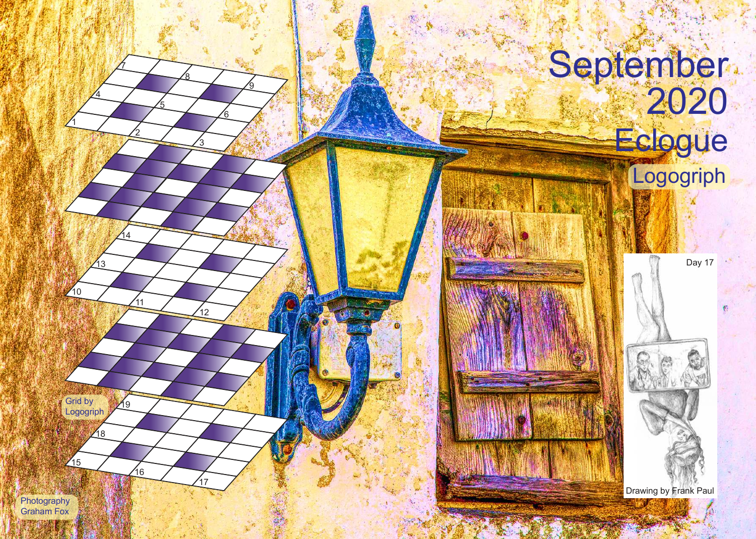